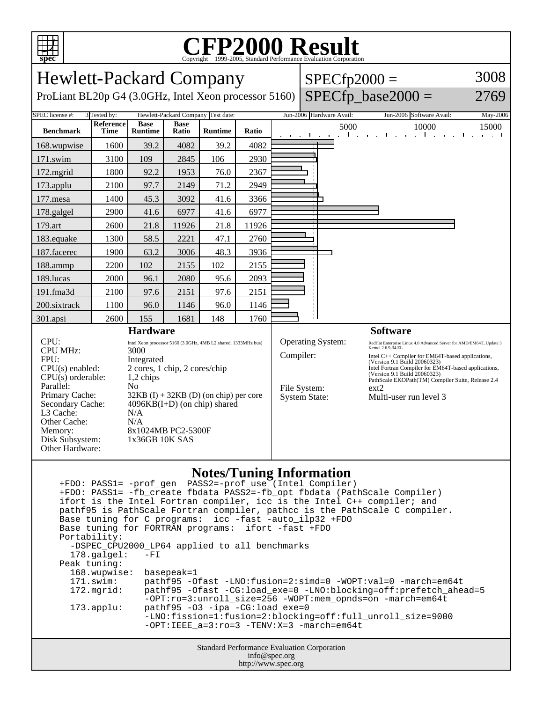

## C<sub>opyright</sub> ©1999-2005, Standard Performance Evaluation Corporation

| <b>Hewlett-Packard Company</b>                                                                                                                                                                                                                                                                                                                                                                                                                                                                         |                   |                               |                             |                |                                                                                                                                                                                                                                                                                                                                                                                                                                            | $SPECfp2000 =$ |                                                 | 3008                                                                      |                      |
|--------------------------------------------------------------------------------------------------------------------------------------------------------------------------------------------------------------------------------------------------------------------------------------------------------------------------------------------------------------------------------------------------------------------------------------------------------------------------------------------------------|-------------------|-------------------------------|-----------------------------|----------------|--------------------------------------------------------------------------------------------------------------------------------------------------------------------------------------------------------------------------------------------------------------------------------------------------------------------------------------------------------------------------------------------------------------------------------------------|----------------|-------------------------------------------------|---------------------------------------------------------------------------|----------------------|
| ProLiant BL20p G4 (3.0GHz, Intel Xeon processor 5160)                                                                                                                                                                                                                                                                                                                                                                                                                                                  |                   |                               |                             |                |                                                                                                                                                                                                                                                                                                                                                                                                                                            |                | $SPECfp\_base2000 =$                            | 2769                                                                      |                      |
| SPEC license #:<br>3 Tested by:<br>Hewlett-Packard Company Test date:                                                                                                                                                                                                                                                                                                                                                                                                                                  |                   |                               |                             |                |                                                                                                                                                                                                                                                                                                                                                                                                                                            |                | Jun-2006 Hardware Avail:                        | Jun-2006 Software Avail:                                                  | May-2006             |
| <b>Benchmark</b>                                                                                                                                                                                                                                                                                                                                                                                                                                                                                       | Reference<br>Time | <b>Base</b><br><b>Runtime</b> | <b>Base</b><br><b>Ratio</b> | <b>Runtime</b> | Ratio                                                                                                                                                                                                                                                                                                                                                                                                                                      |                | 5000<br>$\mathbf{I}$<br>a company de la company | 10000<br>and the control of<br>$1 - 1 - 1 - 1$<br>$\sim 100$ km s $^{-1}$ | 15000<br>and a state |
| 168.wupwise                                                                                                                                                                                                                                                                                                                                                                                                                                                                                            | 1600              | 39.2                          | 4082                        | 39.2           | 4082                                                                                                                                                                                                                                                                                                                                                                                                                                       |                |                                                 |                                                                           |                      |
| 171.swim                                                                                                                                                                                                                                                                                                                                                                                                                                                                                               | 3100              | 109                           | 2845                        | 106            | 2930                                                                                                                                                                                                                                                                                                                                                                                                                                       |                |                                                 |                                                                           |                      |
| 172.mgrid                                                                                                                                                                                                                                                                                                                                                                                                                                                                                              | 1800              | 92.2                          | 1953                        | 76.0           | 2367                                                                                                                                                                                                                                                                                                                                                                                                                                       |                |                                                 |                                                                           |                      |
| 173.applu                                                                                                                                                                                                                                                                                                                                                                                                                                                                                              | 2100              | 97.7                          | 2149                        | 71.2           | 2949                                                                                                                                                                                                                                                                                                                                                                                                                                       |                |                                                 |                                                                           |                      |
| 177.mesa                                                                                                                                                                                                                                                                                                                                                                                                                                                                                               | 1400              | 45.3                          | 3092                        | 41.6           | 3366                                                                                                                                                                                                                                                                                                                                                                                                                                       |                |                                                 |                                                                           |                      |
| 178.galgel                                                                                                                                                                                                                                                                                                                                                                                                                                                                                             | 2900              | 41.6                          | 6977                        | 41.6           | 6977                                                                                                                                                                                                                                                                                                                                                                                                                                       |                |                                                 |                                                                           |                      |
| 179.art                                                                                                                                                                                                                                                                                                                                                                                                                                                                                                | 2600              | 21.8                          | 11926                       | 21.8           | 11926                                                                                                                                                                                                                                                                                                                                                                                                                                      |                |                                                 |                                                                           |                      |
| 183.equake                                                                                                                                                                                                                                                                                                                                                                                                                                                                                             | 1300              | 58.5                          | 2221                        | 47.1           | 2760                                                                                                                                                                                                                                                                                                                                                                                                                                       |                |                                                 |                                                                           |                      |
| 187.facerec                                                                                                                                                                                                                                                                                                                                                                                                                                                                                            | 1900              | 63.2                          | 3006                        | 48.3           | 3936                                                                                                                                                                                                                                                                                                                                                                                                                                       |                |                                                 |                                                                           |                      |
| 188.ammp                                                                                                                                                                                                                                                                                                                                                                                                                                                                                               | 2200              | 102                           | 2155                        | 102            | 2155                                                                                                                                                                                                                                                                                                                                                                                                                                       |                |                                                 |                                                                           |                      |
| 189.lucas                                                                                                                                                                                                                                                                                                                                                                                                                                                                                              | 2000              | 96.1                          | 2080                        | 95.6           | 2093                                                                                                                                                                                                                                                                                                                                                                                                                                       |                |                                                 |                                                                           |                      |
| 191.fma3d                                                                                                                                                                                                                                                                                                                                                                                                                                                                                              | 2100              | 97.6                          | 2151                        | 97.6           | 2151                                                                                                                                                                                                                                                                                                                                                                                                                                       |                |                                                 |                                                                           |                      |
| 200.sixtrack                                                                                                                                                                                                                                                                                                                                                                                                                                                                                           | 1100              | 96.0                          | 1146                        | 96.0           | 1146                                                                                                                                                                                                                                                                                                                                                                                                                                       |                |                                                 |                                                                           |                      |
| 301.apsi                                                                                                                                                                                                                                                                                                                                                                                                                                                                                               | 2600              | 155                           | 1681                        | 148            | 1760                                                                                                                                                                                                                                                                                                                                                                                                                                       |                |                                                 |                                                                           |                      |
| <b>Hardware</b>                                                                                                                                                                                                                                                                                                                                                                                                                                                                                        |                   |                               |                             |                |                                                                                                                                                                                                                                                                                                                                                                                                                                            |                |                                                 | <b>Software</b>                                                           |                      |
| CPU:<br>Intel Xeon processor 5160 (3.0GHz, 4MB L2 shared, 1333MHz bus)<br><b>CPU MHz:</b><br>3000<br>FPU:<br>Integrated<br>CPU(s) enabled:<br>2 cores, 1 chip, 2 cores/chip<br>$CPU(s)$ orderable:<br>1,2 chips<br>Parallel:<br>N <sub>0</sub><br>Primary Cache:<br>$32KB$ (I) + 32KB (D) (on chip) per core<br>Secondary Cache:<br>$4096KB(I+D)$ (on chip) shared<br>L3 Cache:<br>N/A<br>Other Cache:<br>N/A<br>8x1024MB PC2-5300F<br>Memory:<br>Disk Subsystem:<br>1x36GB 10K SAS<br>Other Hardware: |                   |                               |                             |                | Operating System:<br>RedHat Enterprise Linux 4.0 Advanced Server for AMD/EM64T, Update 3<br>Kernel 2.6.9-34.EL<br>Compiler:<br>Intel C++ Compiler for EM64T-based applications,<br>(Version 9.1 Build 20060323)<br>Intel Fortran Compiler for EM64T-based applications,<br>(Version 9.1 Build 20060323)<br>PathScale EKOPath(TM) Compiler Suite, Release 2.4<br>File System:<br>$ext{2}$<br><b>System State:</b><br>Multi-user run level 3 |                |                                                 |                                                                           |                      |

## **Notes/Tuning Information**

|                                                    |                                                        | +FDO: PASS1= -fb create fbdata PASS2=-fb opt fbdata (PathScale Compiler)<br>ifort is the Intel Fortran compiler, icc is the Intel C++ compiler; and<br>pathf95 is PathScale Fortran compiler, pathcc is the PathScale C compiler. |  |  |  |  |  |  |
|----------------------------------------------------|--------------------------------------------------------|-----------------------------------------------------------------------------------------------------------------------------------------------------------------------------------------------------------------------------------|--|--|--|--|--|--|
|                                                    | Base tuning for C programs: icc -fast -auto_ilp32 +FDO |                                                                                                                                                                                                                                   |  |  |  |  |  |  |
|                                                    | Base tuning for FORTRAN programs: ifort -fast +FDO     |                                                                                                                                                                                                                                   |  |  |  |  |  |  |
|                                                    | Portability:                                           |                                                                                                                                                                                                                                   |  |  |  |  |  |  |
|                                                    | -DSPEC_CPU2000_LP64 applied to all benchmarks          |                                                                                                                                                                                                                                   |  |  |  |  |  |  |
|                                                    | $178.\text{qalgel}$ :                                  | $-FI$                                                                                                                                                                                                                             |  |  |  |  |  |  |
|                                                    | Peak tuning:                                           |                                                                                                                                                                                                                                   |  |  |  |  |  |  |
|                                                    | 168.wupwise: basepeak=1                                |                                                                                                                                                                                                                                   |  |  |  |  |  |  |
|                                                    | 171.swim:                                              | pathf95 -Ofast -LNO:fusion=2:simd=0 -WOPT:val=0 -march=em64t                                                                                                                                                                      |  |  |  |  |  |  |
|                                                    | $172.\text{mgrid}:$                                    | pathf95 -Ofast -CG:load exe=0 -LNO:blocking=off:prefetch ahead=5<br>$-OPT:ro=3:unroll$ size=256 -WOPT:mem opnds=on -march=em64t                                                                                                   |  |  |  |  |  |  |
|                                                    | $173.appendu$ :                                        | $pathf95 -03 -ipa -CG:loadexe=0$                                                                                                                                                                                                  |  |  |  |  |  |  |
|                                                    |                                                        | -LNO:fission=1:fusion=2:blocking=off:full unroll size=9000                                                                                                                                                                        |  |  |  |  |  |  |
|                                                    |                                                        | $-OPT:IERE$ a=3:ro=3 -TENV:X=3 -march=em64t                                                                                                                                                                                       |  |  |  |  |  |  |
| <b>Standard Performance Evaluation Corporation</b> |                                                        |                                                                                                                                                                                                                                   |  |  |  |  |  |  |
|                                                    | info@spec.org                                          |                                                                                                                                                                                                                                   |  |  |  |  |  |  |

http://www.spec.org